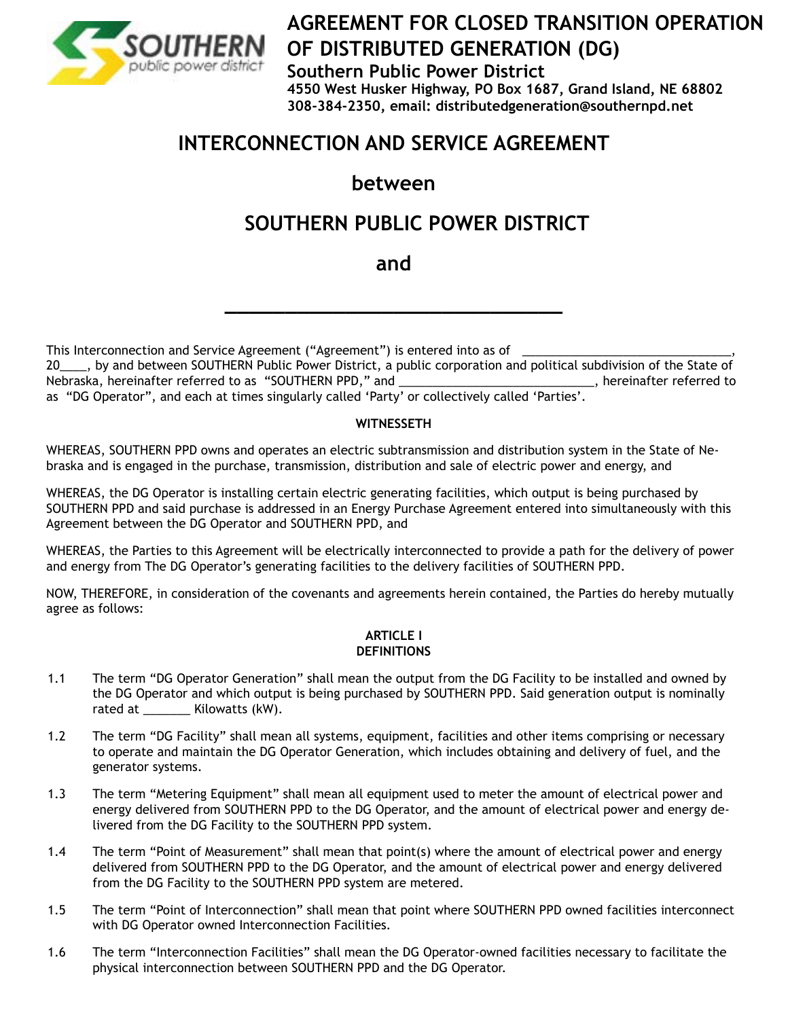

# **AGREEMENT FOR CLOSED TRANSITION OPERATION OF DISTRIBUTED GENERATION (DG)**

**Southern Public Power District**

**4550 West Husker Highway, PO Box 1687, Grand Island, NE 68802 308-384-2350, email: distributedgeneration@southernpd.net**

# **INTERCONNECTION AND SERVICE AGREEMENT**

# **between**

# **SOUTHERN PUBLIC POWER DISTRICT**

## **and**

**\_\_\_\_\_\_\_\_\_\_\_\_\_\_\_\_\_\_\_\_\_\_\_\_\_\_\_\_**

This Interconnection and Service Agreement ("Agreement") is entered into as of

20\_\_\_\_, by and between SOUTHERN Public Power District, a public corporation and political subdivision of the State of Nebraska, hereinafter referred to as "SOUTHERN PPD," and \_\_\_\_\_\_\_\_\_\_\_\_\_\_\_\_\_\_\_\_\_\_\_\_\_\_\_\_\_, hereinafter referred to as "DG Operator", and each at times singularly called 'Party' or collectively called 'Parties'.

## **WITNESSETH**

WHEREAS, SOUTHERN PPD owns and operates an electric subtransmission and distribution system in the State of Nebraska and is engaged in the purchase, transmission, distribution and sale of electric power and energy, and

WHEREAS, the DG Operator is installing certain electric generating facilities, which output is being purchased by SOUTHERN PPD and said purchase is addressed in an Energy Purchase Agreement entered into simultaneously with this Agreement between the DG Operator and SOUTHERN PPD, and

WHEREAS, the Parties to this Agreement will be electrically interconnected to provide a path for the delivery of power and energy from The DG Operator's generating facilities to the delivery facilities of SOUTHERN PPD.

NOW, THEREFORE, in consideration of the covenants and agreements herein contained, the Parties do hereby mutually agree as follows:

#### **ARTICLE I DEFINITIONS**

- 1.1 The term "DG Operator Generation" shall mean the output from the DG Facility to be installed and owned by the DG Operator and which output is being purchased by SOUTHERN PPD. Said generation output is nominally rated at \_\_\_\_\_\_\_ Kilowatts (kW).
- 1.2 The term "DG Facility" shall mean all systems, equipment, facilities and other items comprising or necessary to operate and maintain the DG Operator Generation, which includes obtaining and delivery of fuel, and the generator systems.
- 1.3 The term "Metering Equipment" shall mean all equipment used to meter the amount of electrical power and energy delivered from SOUTHERN PPD to the DG Operator, and the amount of electrical power and energy delivered from the DG Facility to the SOUTHERN PPD system.
- 1.4 The term "Point of Measurement" shall mean that point(s) where the amount of electrical power and energy delivered from SOUTHERN PPD to the DG Operator, and the amount of electrical power and energy delivered from the DG Facility to the SOUTHERN PPD system are metered.
- 1.5 The term "Point of Interconnection" shall mean that point where SOUTHERN PPD owned facilities interconnect with DG Operator owned Interconnection Facilities.
- 1.6 The term "Interconnection Facilities" shall mean the DG Operator-owned facilities necessary to facilitate the physical interconnection between SOUTHERN PPD and the DG Operator.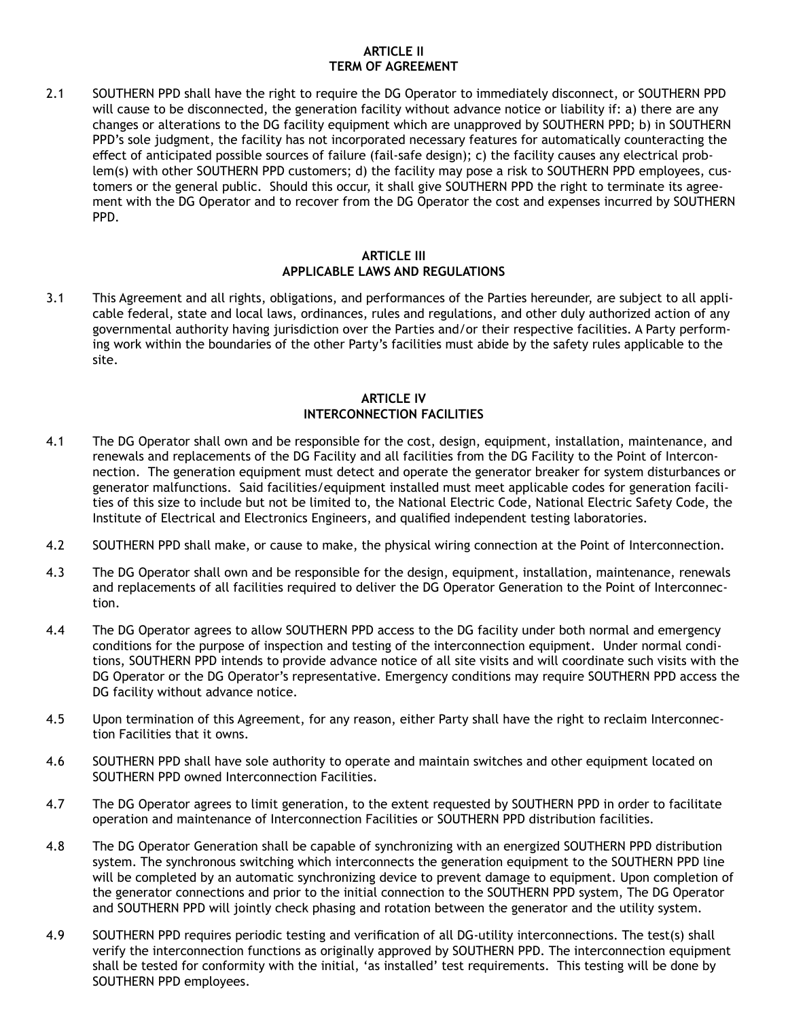#### **ARTICLE II TERM OF AGREEMENT**

2.1 SOUTHERN PPD shall have the right to require the DG Operator to immediately disconnect, or SOUTHERN PPD will cause to be disconnected, the generation facility without advance notice or liability if: a) there are any changes or alterations to the DG facility equipment which are unapproved by SOUTHERN PPD; b) in SOUTHERN PPD's sole judgment, the facility has not incorporated necessary features for automatically counteracting the effect of anticipated possible sources of failure (fail-safe design); c) the facility causes any electrical problem(s) with other SOUTHERN PPD customers; d) the facility may pose a risk to SOUTHERN PPD employees, customers or the general public. Should this occur, it shall give SOUTHERN PPD the right to terminate its agreement with the DG Operator and to recover from the DG Operator the cost and expenses incurred by SOUTHERN PPD.

#### **ARTICLE III APPLICABLE LAWS AND REGULATIONS**

3.1 This Agreement and all rights, obligations, and performances of the Parties hereunder, are subject to all applicable federal, state and local laws, ordinances, rules and regulations, and other duly authorized action of any governmental authority having jurisdiction over the Parties and/or their respective facilities. A Party performing work within the boundaries of the other Party's facilities must abide by the safety rules applicable to the site.

#### **ARTICLE IV INTERCONNECTION FACILITIES**

- 4.1 The DG Operator shall own and be responsible for the cost, design, equipment, installation, maintenance, and renewals and replacements of the DG Facility and all facilities from the DG Facility to the Point of Interconnection. The generation equipment must detect and operate the generator breaker for system disturbances or generator malfunctions. Said facilities/equipment installed must meet applicable codes for generation facilities of this size to include but not be limited to, the National Electric Code, National Electric Safety Code, the Institute of Electrical and Electronics Engineers, and qualified independent testing laboratories.
- 4.2 SOUTHERN PPD shall make, or cause to make, the physical wiring connection at the Point of Interconnection.
- 4.3 The DG Operator shall own and be responsible for the design, equipment, installation, maintenance, renewals and replacements of all facilities required to deliver the DG Operator Generation to the Point of Interconnection.
- 4.4 The DG Operator agrees to allow SOUTHERN PPD access to the DG facility under both normal and emergency conditions for the purpose of inspection and testing of the interconnection equipment. Under normal conditions, SOUTHERN PPD intends to provide advance notice of all site visits and will coordinate such visits with the DG Operator or the DG Operator's representative. Emergency conditions may require SOUTHERN PPD access the DG facility without advance notice.
- 4.5 Upon termination of this Agreement, for any reason, either Party shall have the right to reclaim Interconnection Facilities that it owns.
- 4.6 SOUTHERN PPD shall have sole authority to operate and maintain switches and other equipment located on SOUTHERN PPD owned Interconnection Facilities.
- 4.7 The DG Operator agrees to limit generation, to the extent requested by SOUTHERN PPD in order to facilitate operation and maintenance of Interconnection Facilities or SOUTHERN PPD distribution facilities.
- 4.8 The DG Operator Generation shall be capable of synchronizing with an energized SOUTHERN PPD distribution system. The synchronous switching which interconnects the generation equipment to the SOUTHERN PPD line will be completed by an automatic synchronizing device to prevent damage to equipment. Upon completion of the generator connections and prior to the initial connection to the SOUTHERN PPD system, The DG Operator and SOUTHERN PPD will jointly check phasing and rotation between the generator and the utility system.
- 4.9 SOUTHERN PPD requires periodic testing and verification of all DG-utility interconnections. The test(s) shall verify the interconnection functions as originally approved by SOUTHERN PPD. The interconnection equipment shall be tested for conformity with the initial, 'as installed' test requirements. This testing will be done by SOUTHERN PPD employees.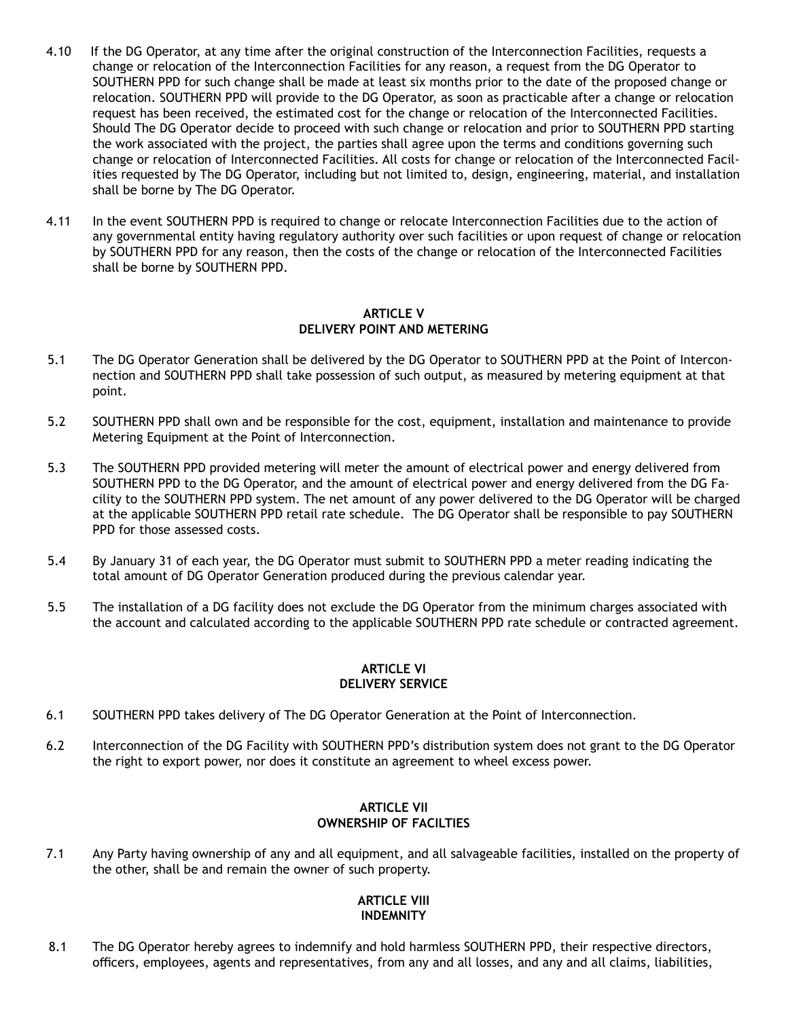- 4.10 If the DG Operator, at any time after the original construction of the Interconnection Facilities, requests a change or relocation of the Interconnection Facilities for any reason, a request from the DG Operator to SOUTHERN PPD for such change shall be made at least six months prior to the date of the proposed change or relocation. SOUTHERN PPD will provide to the DG Operator, as soon as practicable after a change or relocation request has been received, the estimated cost for the change or relocation of the Interconnected Facilities. Should The DG Operator decide to proceed with such change or relocation and prior to SOUTHERN PPD starting the work associated with the project, the parties shall agree upon the terms and conditions governing such change or relocation of Interconnected Facilities. All costs for change or relocation of the Interconnected Facilities requested by The DG Operator, including but not limited to, design, engineering, material, and installation shall be borne by The DG Operator.
- 4.11 In the event SOUTHERN PPD is required to change or relocate Interconnection Facilities due to the action of any governmental entity having regulatory authority over such facilities or upon request of change or relocation by SOUTHERN PPD for any reason, then the costs of the change or relocation of the Interconnected Facilities shall be borne by SOUTHERN PPD.

#### **ARTICLE V DELIVERY POINT AND METERING**

- 5.1 The DG Operator Generation shall be delivered by the DG Operator to SOUTHERN PPD at the Point of Interconnection and SOUTHERN PPD shall take possession of such output, as measured by metering equipment at that point.
- 5.2 SOUTHERN PPD shall own and be responsible for the cost, equipment, installation and maintenance to provide Metering Equipment at the Point of Interconnection.
- 5.3 The SOUTHERN PPD provided metering will meter the amount of electrical power and energy delivered from SOUTHERN PPD to the DG Operator, and the amount of electrical power and energy delivered from the DG Facility to the SOUTHERN PPD system. The net amount of any power delivered to the DG Operator will be charged at the applicable SOUTHERN PPD retail rate schedule. The DG Operator shall be responsible to pay SOUTHERN PPD for those assessed costs.
- 5.4 By January 31 of each year, the DG Operator must submit to SOUTHERN PPD a meter reading indicating the total amount of DG Operator Generation produced during the previous calendar year.
- 5.5 The installation of a DG facility does not exclude the DG Operator from the minimum charges associated with the account and calculated according to the applicable SOUTHERN PPD rate schedule or contracted agreement.

#### **ARTICLE VI DELIVERY SERVICE**

- 6.1 SOUTHERN PPD takes delivery of The DG Operator Generation at the Point of Interconnection.
- 6.2 Interconnection of the DG Facility with SOUTHERN PPD's distribution system does not grant to the DG Operator the right to export power, nor does it constitute an agreement to wheel excess power.

### **ARTICLE VII OWNERSHIP OF FACILTIES**

7.1 Any Party having ownership of any and all equipment, and all salvageable facilities, installed on the property of the other, shall be and remain the owner of such property.

#### **ARTICLE VIII INDEMNITY**

8.1 The DG Operator hereby agrees to indemnify and hold harmless SOUTHERN PPD, their respective directors, officers, employees, agents and representatives, from any and all losses, and any and all claims, liabilities,